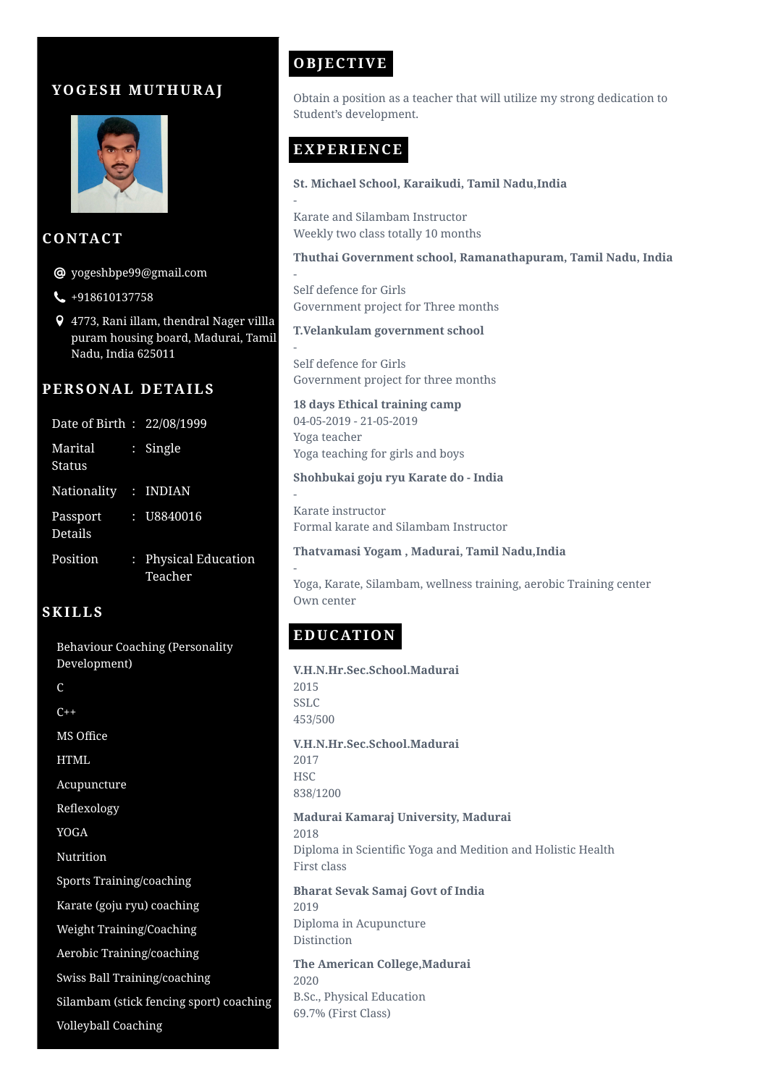# **YOGES H MUT H URAJ**



### **CONTACT**

 $\bm{\Theta}$  yogeshbpe $99$ @gmail.com

- $\bigcup$  +918610137758
- 4773, Rani illam, thendral Nager villla puram housing board, Madurai, Tamil Nadu, India 625011

## **PERSONAL DETAILS**

| Date of Birth: 22/08/1999 |                                 |
|---------------------------|---------------------------------|
| Marital<br>Status         | $:$ Single                      |
| Nationality : INDIAN      |                                 |
| Passport<br>Details       |                                 |
| Position                  | : Physical Education<br>Teacher |

## **SKILLS**

Behaviour Coaching (Personality Development) C  $C_{++}$ MS Office HTML Acupuncture Reflexology YOGA **Nutrition** Sports Training/coaching Karate (goju ryu) coaching Weight Training/Coaching Aerobic Training/coaching Swiss Ball Training/coaching Silambam (stick fencing sport) coaching Volleyball Coaching

# **OBJECTIVE**

Obtain a position as a teacher that will utilize my strong dedication to Student's development.

# **EXPERIENCE**

-

-

-

#### **St. Michael School, Karaikudi, Tamil Nadu,India**

Karate and Silambam Instructor Weekly two class totally 10 months

#### **Thuthai Government school, Ramanathapuram, Tamil Nadu, India**

Self defence for Girls Government project for Three months

#### **T.Velankulam government school**

- Self defence for Girls Government project for three months

**18 days Ethical training camp** 04-05-2019 - 21-05-2019 Yoga teacher Yoga teaching for girls and boys

#### **Shohbukai goju ryu Karate do - India**

- Karate instructor Formal karate and Silambam Instructor

**Thatvamasi Yogam , Madurai, Tamil Nadu,India**

Yoga, Karate, Silambam, wellness training, aerobic Training center Own center

# **EDUCATION**

**V.H.N.Hr.Sec.School.Madurai** 2015 SSLC 453/500 **V.H.N.Hr.Sec.School.Madurai** 2017 **HSC** 838/1200 **Madurai Kamaraj University, Madurai** 2018 Diploma in Scientific Yoga and Medition and Holistic Health First class **Bharat Sevak Samaj Govt of India** 2019 Diploma in Acupuncture Distinction

**The American College,Madurai** 2020 B.Sc., Physical Education 69.7% (First Class)